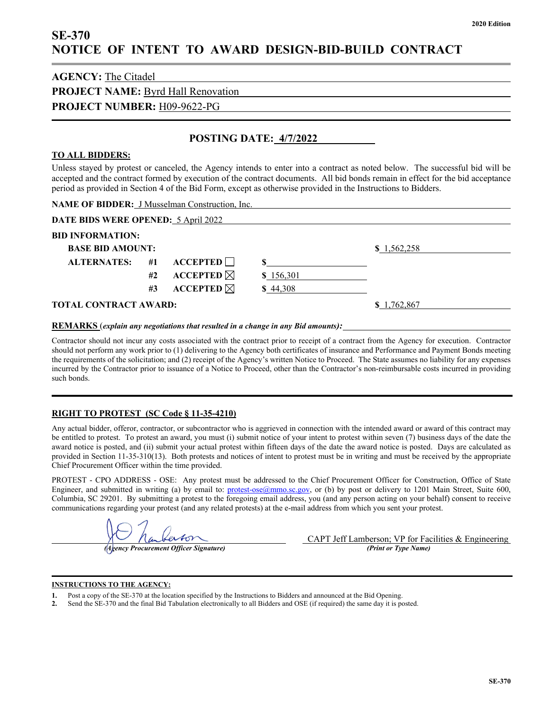# **SE-370 NOTICE OF INTENT TO AWARD DESIGN-BID-BUILD CONTRACT**

| <b>AGENCY:</b> The Citadel                |  |
|-------------------------------------------|--|
| <b>PROJECT NAME: Byrd Hall Renovation</b> |  |
| <b>PROJECT NUMBER: H09-9622-PG</b>        |  |
|                                           |  |

## **POSTING DATE: 4/7/2022**

### **TO ALL BIDDERS:**

Unless stayed by protest or canceled, the Agency intends to enter into a contract as noted below. The successful bid will be accepted and the contract formed by execution of the contract documents. All bid bonds remain in effect for the bid acceptance period as provided in Section 4 of the Bid Form, except as otherwise provided in the Instructions to Bidders.

| <b>NAME OF BIDDER:</b> J Musselman Construction, Inc.                                                                                                                                                                                                                                                                                                                                                                  |    |                             |           |             |  |  |  |
|------------------------------------------------------------------------------------------------------------------------------------------------------------------------------------------------------------------------------------------------------------------------------------------------------------------------------------------------------------------------------------------------------------------------|----|-----------------------------|-----------|-------------|--|--|--|
| <b>DATE BIDS WERE OPENED: 5 April 2022</b>                                                                                                                                                                                                                                                                                                                                                                             |    |                             |           |             |  |  |  |
| <b>BID INFORMATION:</b>                                                                                                                                                                                                                                                                                                                                                                                                |    |                             |           |             |  |  |  |
| <b>BASE BID AMOUNT:</b>                                                                                                                                                                                                                                                                                                                                                                                                |    |                             |           | \$1,562,258 |  |  |  |
| <b>ALTERNATES:</b>                                                                                                                                                                                                                                                                                                                                                                                                     | #1 | $\Lambda$ CCEPTED $\Box$    |           |             |  |  |  |
|                                                                                                                                                                                                                                                                                                                                                                                                                        | #2 | <b>ACCEPTED</b> $\boxtimes$ | \$156,301 |             |  |  |  |
|                                                                                                                                                                                                                                                                                                                                                                                                                        | #3 | <b>ACCEPTED</b> $\boxtimes$ | \$44,308  |             |  |  |  |
| <b>TOTAL CONTRACT AWARD:</b>                                                                                                                                                                                                                                                                                                                                                                                           |    | \$1,762,867                 |           |             |  |  |  |
| $\mathbf{D} \mathbf{D} \mathbf{I} \mathbf{I} \mathbf{I} \mathbf{I} \mathbf{I} \mathbf{I} \mathbf{I} \mathbf{I} \mathbf{I} \mathbf{I} \mathbf{I} \mathbf{I} \mathbf{I} \mathbf{I} \mathbf{I} \mathbf{I} \mathbf{I} \mathbf{I} \mathbf{I} \mathbf{I} \mathbf{I} \mathbf{I} \mathbf{I} \mathbf{I} \mathbf{I} \mathbf{I} \mathbf{I} \mathbf{I} \mathbf{I} \mathbf{I} \mathbf{I} \mathbf{I} \mathbf{I} \mathbf{I} \mathbf{$ |    |                             |           |             |  |  |  |

**REMARKS** (*explain any negotiations that resulted in a change in any Bid amounts):*

Contractor should not incur any costs associated with the contract prior to receipt of a contract from the Agency for execution. Contractor should not perform any work prior to (1) delivering to the Agency both certificates of insurance and Performance and Payment Bonds meeting the requirements of the solicitation; and (2) receipt of the Agency's written Notice to Proceed. The State assumes no liability for any expenses incurred by the Contractor prior to issuance of a Notice to Proceed, other than the Contractor's non-reimbursable costs incurred in providing such bonds.

### **RIGHT TO PROTEST (SC Code § 11-35-4210)**

Any actual bidder, offeror, contractor, or subcontractor who is aggrieved in connection with the intended award or award of this contract may be entitled to protest. To protest an award, you must (i) submit notice of your intent to protest within seven (7) business days of the date the award notice is posted, and (ii) submit your actual protest within fifteen days of the date the award notice is posted. Days are calculated as provided in Section 11-35-310(13). Both protests and notices of intent to protest must be in writing and must be received by the appropriate Chief Procurement Officer within the time provided.

PROTEST - CPO ADDRESS - OSE: Any protest must be addressed to the Chief Procurement Officer for Construction, Office of State Engineer, and submitted in writing (a) by email to: [protest-ose@mmo.sc.gov,](mailto:protest-ose@mmo.sc.gov) or (b) by post or delivery to 1201 Main Street, Suite 600, Columbia, SC 29201. By submitting a protest to the foregoing email address, you (and any person acting on your behalf) consent to receive communications regarding your protest (and any related protests) at the e-mail address from which you sent your protest.

*(Agency Procurement Officer Signature) (Print or Type Name)*

CAPT Jeff Lamberson; VP for Facilities & Engineering<br>(Print or Type Name)

#### **INSTRUCTIONS TO THE AGENCY:**

- **1.** Post a copy of the SE-370 at the location specified by the Instructions to Bidders and announced at the Bid Opening.
- **2.** Send the SE-370 and the final Bid Tabulation electronically to all Bidders and OSE (if required) the same day it is posted.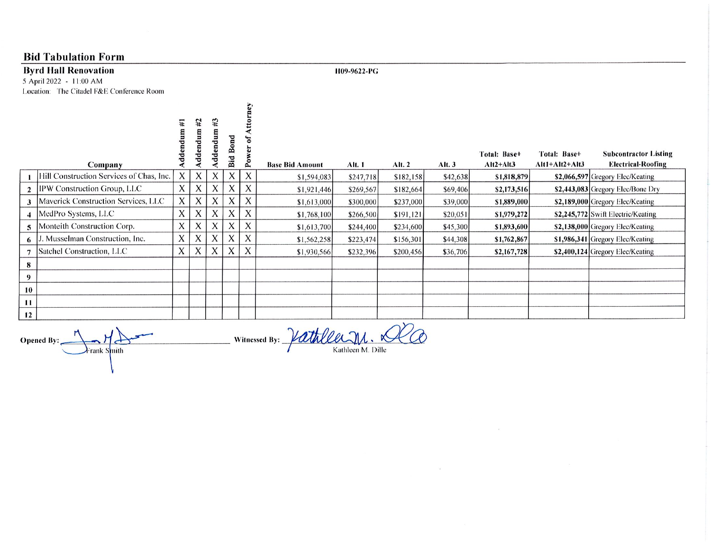## **Bid Tabulation Form**

### **Byrd Hall Renovation**

5 April 2022 - 11:00 AM Location: The Citadel F&E Conference Room H09-9622-PG

 $\sim$ 

|    | Company                                  | Ē<br>ddei    | #2<br>ddendum | #3<br>ರ<br>تە<br>ರ<br>ᇰ | ರ<br>$\epsilon$<br>☎<br>Bid | $\mathbf{e}$              | <b>Base Bid Amount</b> | Alt. 1    | Alt. 2    | Alt.3    | Total: Base+<br>$Alt2+Alt3$ | Total: Base+<br>$Alt1+AIt2+AIt3$ | <b>Subcontractor Listing</b><br><b>Electrical-Roofing</b> |
|----|------------------------------------------|--------------|---------------|-------------------------|-----------------------------|---------------------------|------------------------|-----------|-----------|----------|-----------------------------|----------------------------------|-----------------------------------------------------------|
|    | Hill Construction Services of Chas, Inc. | X            | X             | X                       | X                           | X                         | \$1,594,083            | \$247,718 | \$182,158 | \$42,638 | \$1,818,879                 |                                  | \$2,066,597 Gregory Elec/Keating                          |
|    | IPW Construction Group, LLC              | X            | X             | $\lambda$               | X                           |                           | \$1,921,446            | \$269,567 | \$182,664 | \$69,406 | \$2,173,516                 |                                  | $$2,443,083$ Gregory Elec/Bone Dry                        |
|    | Maverick Construction Services, LLC      | X            | X             | X                       | X                           | X                         | \$1,613,000            | \$300,000 | \$237,000 | \$39,000 | \$1,889,000                 |                                  | \$2,189,000 Gregory Elec/Keating                          |
|    | MedPro Systems, LLC                      | A            | $\Lambda$     | $\Lambda$               | $\mathbf{v}$<br>A           | $\mathbf{v}$<br>$\Lambda$ | \$1,768,100            | \$266,500 | \$191,121 | \$20,051 | \$1,979,272                 |                                  | \$2,245,772 Swift Electric/Keating                        |
|    | Monteith Construction Corp.              | X            | X             | A                       | X                           | X                         | \$1,613,700            | \$244,400 | \$234,600 | \$45,300 | \$1,893,600                 |                                  | \$2,138,000 Gregory Elec/Keating                          |
|    | Musselman Construction, Inc.             | $\mathsf{X}$ | X             | X                       | X                           | X                         | \$1,562,258            | \$223,474 | \$156,301 | \$44,308 | \$1,762,867                 |                                  | \$1,986,341 Gregory Elec/Keating                          |
|    | Satchel Construction, LLC                | X            | X             | $\lambda$               | X                           | X                         | \$1,930,566            | \$232,396 | \$200,456 | \$36,706 | \$2,167,728                 |                                  | \$2,400,124 Gregory Elec/Keating                          |
| 8  |                                          |              |               |                         |                             |                           |                        |           |           |          |                             |                                  |                                                           |
| 9  |                                          |              |               |                         |                             |                           |                        |           |           |          |                             |                                  |                                                           |
| 10 |                                          |              |               |                         |                             |                           |                        |           |           |          |                             |                                  |                                                           |
| 11 |                                          |              |               |                         |                             |                           |                        |           |           |          |                             |                                  |                                                           |
| 12 |                                          |              |               |                         |                             |                           |                        |           |           |          |                             |                                  |                                                           |

Opened By: Frank Smith

Vathlee M. Dille Witnessed By:  $-$ 

 $\mathcal{R}$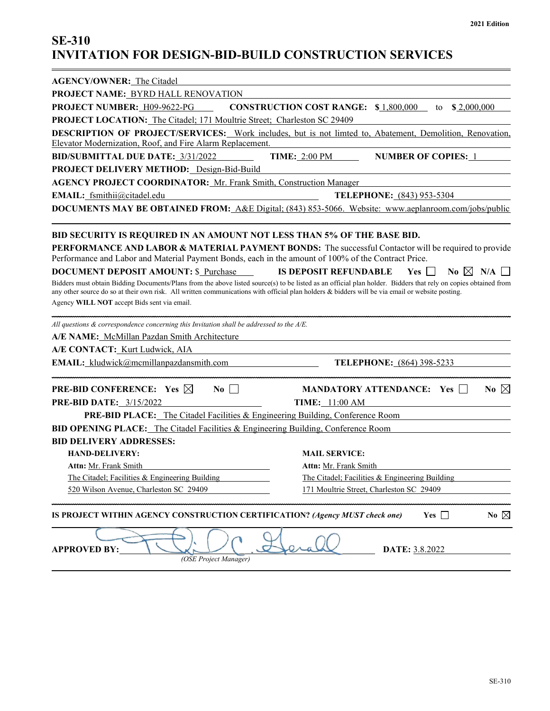# **SE-310 INVITATION FOR DESIGN-BID-BUILD CONSTRUCTION SERVICES**

| <b>AGENCY/OWNER:</b> The Citadel                                                                                                                                 |                                                                                                                                                                |  |  |  |  |  |  |  |
|------------------------------------------------------------------------------------------------------------------------------------------------------------------|----------------------------------------------------------------------------------------------------------------------------------------------------------------|--|--|--|--|--|--|--|
| PROJECT NAME: BYRD HALL RENOVATION                                                                                                                               |                                                                                                                                                                |  |  |  |  |  |  |  |
| PROJECT NUMBER: H09-9622-PG                                                                                                                                      | <b>CONSTRUCTION COST RANGE: \$1,800,000</b><br>\$2,000,000<br>to                                                                                               |  |  |  |  |  |  |  |
| PROJECT LOCATION: The Citadel; 171 Moultrie Street; Charleston SC 29409                                                                                          |                                                                                                                                                                |  |  |  |  |  |  |  |
|                                                                                                                                                                  | DESCRIPTION OF PROJECT/SERVICES: Work includes, but is not limted to, Abatement, Demolition, Renovation,                                                       |  |  |  |  |  |  |  |
| Elevator Modernization, Roof, and Fire Alarm Replacement.                                                                                                        |                                                                                                                                                                |  |  |  |  |  |  |  |
| <b>BID/SUBMITTAL DUE DATE: 3/31/2022</b><br>PROJECT DELIVERY METHOD: Design-Bid-Build                                                                            | <b>TIME: 2:00 PM</b><br><b>NUMBER OF COPIES: 1</b>                                                                                                             |  |  |  |  |  |  |  |
|                                                                                                                                                                  |                                                                                                                                                                |  |  |  |  |  |  |  |
| <b>AGENCY PROJECT COORDINATOR: Mr. Frank Smith, Construction Manager</b>                                                                                         |                                                                                                                                                                |  |  |  |  |  |  |  |
| EMAIL: fsmithii@citadel.edu<br>TELEPHONE: (843) 953-5304<br>DOCUMENTS MAY BE OBTAINED FROM: A&E Digital; (843) 853-5066. Website: www.aeplanroom.com/jobs/public |                                                                                                                                                                |  |  |  |  |  |  |  |
|                                                                                                                                                                  |                                                                                                                                                                |  |  |  |  |  |  |  |
| BID SECURITY IS REQUIRED IN AN AMOUNT NOT LESS THAN 5% OF THE BASE BID.                                                                                          |                                                                                                                                                                |  |  |  |  |  |  |  |
|                                                                                                                                                                  | PERFORMANCE AND LABOR & MATERIAL PAYMENT BONDS: The successful Contactor will be required to provide                                                           |  |  |  |  |  |  |  |
| Performance and Labor and Material Payment Bonds, each in the amount of 100% of the Contract Price.                                                              |                                                                                                                                                                |  |  |  |  |  |  |  |
| <b>DOCUMENT DEPOSIT AMOUNT: \$ Purchase</b>                                                                                                                      | <b>IS DEPOSIT REFUNDABLE</b><br>$Yes \perp$<br>No $\boxtimes$ N/A                                                                                              |  |  |  |  |  |  |  |
|                                                                                                                                                                  | Bidders must obtain Bidding Documents/Plans from the above listed source(s) to be listed as an official plan holder. Bidders that rely on copies obtained from |  |  |  |  |  |  |  |
| Agency WILL NOT accept Bids sent via email.                                                                                                                      | any other source do so at their own risk. All written communications with official plan holders & bidders will be via email or website posting.                |  |  |  |  |  |  |  |
|                                                                                                                                                                  |                                                                                                                                                                |  |  |  |  |  |  |  |
| All questions & correspondence concerning this Invitation shall be addressed to the A/E.                                                                         |                                                                                                                                                                |  |  |  |  |  |  |  |
| A/E NAME: McMillan Pazdan Smith Architecture                                                                                                                     |                                                                                                                                                                |  |  |  |  |  |  |  |
| A/E CONTACT: Kurt Ludwick, AIA                                                                                                                                   |                                                                                                                                                                |  |  |  |  |  |  |  |
| <b>EMAIL:</b> kludwick@mcmillanpazdansmith.com                                                                                                                   | <b>TELEPHONE:</b> (864) 398-5233                                                                                                                               |  |  |  |  |  |  |  |
| <b>PRE-BID CONFERENCE:</b> Yes $\boxtimes$<br>$\overline{N_0}$ $\Box$                                                                                            | <b>MANDATORY ATTENDANCE:</b> Yes<br>No $\boxtimes$                                                                                                             |  |  |  |  |  |  |  |
| PRE-BID DATE: 3/15/2022                                                                                                                                          | <b>TIME:</b> 11:00 AM                                                                                                                                          |  |  |  |  |  |  |  |
| <b>PRE-BID PLACE:</b> The Citadel Facilities & Engineering Building, Conference Room                                                                             |                                                                                                                                                                |  |  |  |  |  |  |  |
| <b>BID OPENING PLACE:</b> The Citadel Facilities & Engineering Building, Conference Room                                                                         |                                                                                                                                                                |  |  |  |  |  |  |  |
| <b>BID DELIVERY ADDRESSES:</b>                                                                                                                                   |                                                                                                                                                                |  |  |  |  |  |  |  |
| <b>HAND-DELIVERY:</b>                                                                                                                                            | <b>MAIL SERVICE:</b>                                                                                                                                           |  |  |  |  |  |  |  |
| Attn: Mr. Frank Smith                                                                                                                                            | Attn: Mr. Frank Smith                                                                                                                                          |  |  |  |  |  |  |  |
| The Citadel; Facilities & Engineering Building                                                                                                                   | The Citadel; Facilities & Engineering Building                                                                                                                 |  |  |  |  |  |  |  |
| 520 Wilson Avenue, Charleston SC 29409                                                                                                                           | 171 Moultrie Street, Charleston SC 29409                                                                                                                       |  |  |  |  |  |  |  |
|                                                                                                                                                                  |                                                                                                                                                                |  |  |  |  |  |  |  |
| IS PROJECT WITHIN AGENCY CONSTRUCTION CERTIFICATION? (Agency MUST check one)                                                                                     | Yes $\Box$<br>No $\boxtimes$                                                                                                                                   |  |  |  |  |  |  |  |
| <b>APPROVED BY:</b>                                                                                                                                              | DATE: 3.8.2022                                                                                                                                                 |  |  |  |  |  |  |  |
| (OSE Project Manager)                                                                                                                                            |                                                                                                                                                                |  |  |  |  |  |  |  |